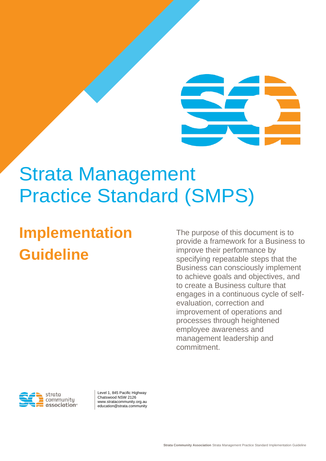# Strata Management Practice Standard (SMPS)

## **Implementation Guideline**

The purpose of this document is to provide a framework for a Business to improve their performance by specifying repeatable steps that the Business can consciously implement to achieve goals and objectives, and to create a Business culture that engages in a continuous cycle of selfevaluation, correction and improvement of operations and processes through heightened employee awareness and management leadership and commitment.



Level 1, 845 Pacific Highway Chatswood NSW 2126 www.stratacommunity.org.au education@strata.community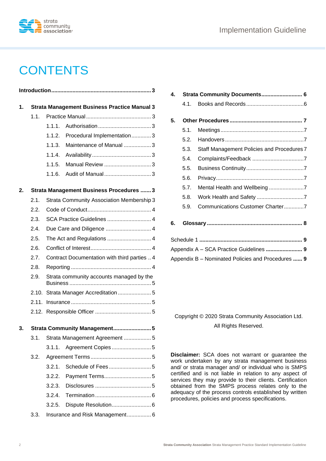

## **CONTENTS**

| 1. | <b>Strata Management Business Practice Manual 3</b> |                                              |                                 |  |  |
|----|-----------------------------------------------------|----------------------------------------------|---------------------------------|--|--|
|    | 1.1.                                                |                                              |                                 |  |  |
|    |                                                     | 111                                          |                                 |  |  |
|    |                                                     | 1.1.2.                                       | Procedural Implementation3      |  |  |
|    |                                                     | 1.1.3.                                       | Maintenance of Manual 3         |  |  |
|    |                                                     | 1.1.4.                                       |                                 |  |  |
|    |                                                     | 1.1.5.                                       | Manual Review 3                 |  |  |
|    |                                                     | 1.1.6.                                       |                                 |  |  |
| 2. | <b>Strata Management Business Procedures  3</b>     |                                              |                                 |  |  |
|    | 2.1.                                                | Strata Community Association Membership 3    |                                 |  |  |
|    | 2.2.                                                |                                              |                                 |  |  |
|    | 2.3.                                                | SCA Practice Guidelines  4                   |                                 |  |  |
|    | 2.4.                                                |                                              |                                 |  |  |
|    | 2.5.                                                |                                              |                                 |  |  |
|    | 2.6.                                                |                                              |                                 |  |  |
|    | 2.7.                                                | Contract Documentation with third parties  4 |                                 |  |  |
|    | 2.8.                                                |                                              |                                 |  |  |
|    | 2.9.                                                | Strata community accounts managed by the     |                                 |  |  |
|    | 2.10.                                               | Strata Manager Accreditation  5              |                                 |  |  |
|    | 2.11.                                               |                                              |                                 |  |  |
|    |                                                     |                                              |                                 |  |  |
| 3. | Strata Community Management 5                       |                                              |                                 |  |  |
|    | 3.1.                                                |                                              | Strata Management Agreement  5  |  |  |
|    |                                                     | 3.1.1.                                       |                                 |  |  |
|    | 3.2.                                                |                                              |                                 |  |  |
|    |                                                     | 3.2.1.                                       |                                 |  |  |
|    |                                                     | 3.2.2.                                       |                                 |  |  |
|    |                                                     | 3.2.3.                                       |                                 |  |  |
|    |                                                     | 3.2.4.                                       |                                 |  |  |
|    |                                                     | 3.2.5.                                       |                                 |  |  |
|    | 3.3.                                                |                                              | Insurance and Risk Management 6 |  |  |

| 4.                                      | Strata Community Documents 6 |                                                   |  |  |  |
|-----------------------------------------|------------------------------|---------------------------------------------------|--|--|--|
|                                         | 4.1.                         |                                                   |  |  |  |
|                                         |                              |                                                   |  |  |  |
| 5.                                      |                              |                                                   |  |  |  |
|                                         | 5.1.                         |                                                   |  |  |  |
|                                         | 5.2.                         |                                                   |  |  |  |
|                                         | 5.3.                         | Staff Management Policies and Procedures 7        |  |  |  |
|                                         | 5.4.                         |                                                   |  |  |  |
|                                         | 5.5.                         |                                                   |  |  |  |
|                                         | 5.6.                         |                                                   |  |  |  |
|                                         | 5.7.                         | Mental Health and Wellbeing 7                     |  |  |  |
|                                         | 5.8.                         |                                                   |  |  |  |
|                                         | 5.9.                         | Communications Customer Charter7                  |  |  |  |
| 6.                                      |                              |                                                   |  |  |  |
|                                         |                              |                                                   |  |  |  |
| Appendix A - SCA Practice Guidelines  9 |                              |                                                   |  |  |  |
|                                         |                              | Appendix B - Nominated Policies and Procedures  9 |  |  |  |

Copyright © 2020 Strata Community Association Ltd. All Rights Reserved.

**Disclaimer:** SCA does not warrant or guarantee the work undertaken by any strata management business and/ or strata manager and/ or individual who is SMPS certified and is not liable in relation to any aspect of services they may provide to their clients. Certification obtained from the SMPS process relates only to the adequacy of the process controls established by written procedures, policies and process specifications.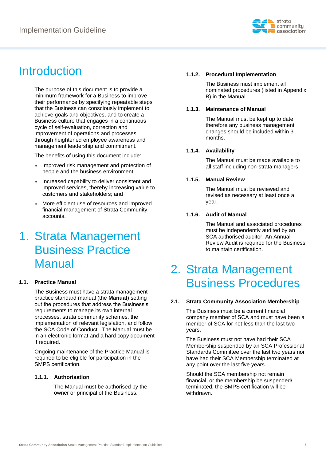

### <span id="page-2-0"></span>Introduction

The purpose of this document is to provide a minimum framework for a Business to improve their performance by specifying repeatable steps that the Business can consciously implement to achieve goals and objectives, and to create a Business culture that engages in a continuous cycle of self-evaluation, correction and improvement of operations and processes through heightened employee awareness and management leadership and commitment.

The benefits of using this document include:

- » Improved risk management and protection of people and the business environment;
- » Increased capability to deliver consistent and improved services, thereby increasing value to customers and stakeholders; and
- » More efficient use of resources and improved financial management of Strata Community accounts.

### <span id="page-2-1"></span>1. Strata Management Business Practice **Manual**

#### <span id="page-2-2"></span>**1.1. Practice Manual**

The Business must have a strata management practice standard manual (the **Manual**) setting out the procedures that address the Business's requirements to manage its own internal processes, strata community schemes, the implementation of relevant legislation, and follow the SCA Code of Conduct. The Manual must be in an electronic format and a hard copy document if required.

Ongoing maintenance of the Practice Manual is required to be eligible for participation in the SMPS certification.

#### <span id="page-2-3"></span>**1.1.1. Authorisation**

The Manual must be authorised by the owner or principal of the Business.

#### <span id="page-2-4"></span>**1.1.2. Procedural Implementation**

The Business must implement all nominated procedures (listed in Appendix B) in the Manual.

#### <span id="page-2-5"></span>**1.1.3. Maintenance of Manual**

The Manual must be kept up to date, therefore any business management changes should be included within 3 months.

#### <span id="page-2-6"></span>**1.1.4. Availability**

The Manual must be made available to all staff including non-strata managers.

#### <span id="page-2-7"></span>**1.1.5. Manual Review**

The Manual must be reviewed and revised as necessary at least once a year.

#### <span id="page-2-8"></span>**1.1.6. Audit of Manual**

The Manual and associated procedures must be independently audited by an SCA authorised auditor. An Annual Review Audit is required for the Business to maintain certification.

### <span id="page-2-9"></span>2. Strata Management Business Procedures

#### <span id="page-2-10"></span>**2.1. Strata Community Association Membership**

The Business must be a current financial company member of SCA and must have been a member of SCA for not less than the last two years.

The Business must not have had their SCA Membership suspended by an SCA Professional Standards Committee over the last two years nor have had their SCA Membership terminated at any point over the last five years.

Should the SCA membership not remain financial, or the membership be suspended/ terminated, the SMPS certification will be withdrawn.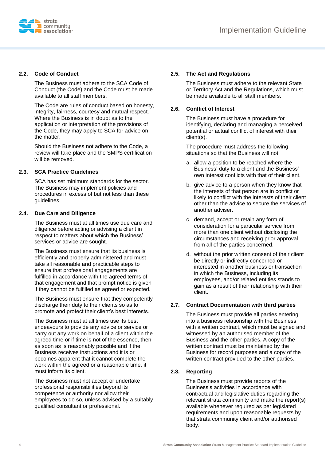

#### <span id="page-3-0"></span>**2.2. Code of Conduct**

The Business must adhere to the SCA Code of Conduct (the Code) and the Code must be made available to all staff members.

The Code are rules of conduct based on honesty, integrity, fairness, courtesy and mutual respect. Where the Business is in doubt as to the application or interpretation of the provisions of the Code, they may apply to SCA for advice on the matter.

Should the Business not adhere to the Code, a review will take place and the SMPS certification will be removed.

#### <span id="page-3-1"></span>**2.3. SCA Practice Guidelines**

SCA has set minimum standards for the sector. The Business may implement policies and procedures in excess of but not less than these guidelines.

#### <span id="page-3-2"></span>**2.4. Due Care and Diligence**

The Business must at all times use due care and diligence before acting or advising a client in respect to matters about which the Business' services or advice are sought.

The Business must ensure that its business is efficiently and properly administered and must take all reasonable and practicable steps to ensure that professional engagements are fulfilled in accordance with the agreed terms of that engagement and that prompt notice is given if they cannot be fulfilled as agreed or expected.

The Business must ensure that they competently discharge their duty to their clients so as to promote and protect their client's best interests.

The Business must at all times use its best endeavours to provide any advice or service or carry out any work on behalf of a client within the agreed time or if time is not of the essence, then as soon as is reasonably possible and if the Business receives instructions and it is or becomes apparent that it cannot complete the work within the agreed or a reasonable time, it must inform its client.

The Business must not accept or undertake professional responsibilities beyond its competence or authority nor allow their employees to do so, unless advised by a suitably qualified consultant or professional.

#### <span id="page-3-3"></span>**2.5. The Act and Regulations**

The Business must adhere to the relevant State or Territory Act and the Regulations, which must be made available to all staff members.

#### <span id="page-3-4"></span>**2.6. Conflict of Interest**

The Business must have a procedure for identifying, declaring and managing a perceived, potential or actual conflict of interest with their client(s).

The procedure must address the following situations so that the Business will not:

- a. allow a position to be reached where the Business' duty to a client and the Business' own interest conflicts with that of their client.
- b. give advice to a person when they know that the interests of that person are in conflict or likely to conflict with the interests of their client other than the advice to secure the services of another adviser.
- c. demand, accept or retain any form of consideration for a particular service from more than one client without disclosing the circumstances and receiving prior approval from all of the parties concerned.
- d. without the prior written consent of their client be directly or indirectly concerned or interested in another business or transaction in which the Business, including its employees, and/or related entities stands to gain as a result of their relationship with their client.

#### <span id="page-3-5"></span>**2.7. Contract Documentation with third parties**

The Business must provide all parties entering into a business relationship with the Business with a written contract, which must be signed and witnessed by an authorised member of the Business and the other parties. A copy of the written contract must be maintained by the Business for record purposes and a copy of the written contract provided to the other parties.

#### <span id="page-3-6"></span>**2.8. Reporting**

The Business must provide reports of the Business's activities in accordance with contractual and legislative duties regarding the relevant strata community and make the report(s) available whenever required as per legislated requirements and upon reasonable requests by that strata community client and/or authorised body.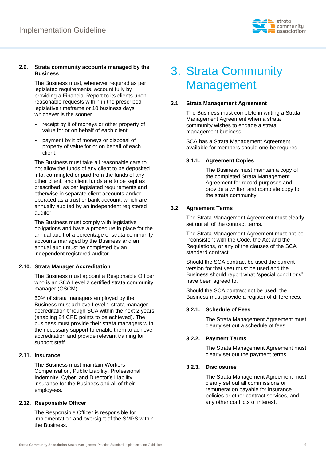

#### <span id="page-4-0"></span>**2.9. Strata community accounts managed by the Business**

The Business must, whenever required as per legislated requirements, account fully by providing a Financial Report to its clients upon reasonable requests within in the prescribed legislative timeframe or 10 business days whichever is the sooner.

- » receipt by it of moneys or other property of value for or on behalf of each client.
- » payment by it of moneys or disposal of property of value for or on behalf of each client.

The Business must take all reasonable care to not allow the funds of any client to be deposited into, co-mingled or paid from the funds of any other client, and client funds are to be kept as prescribed as per legislated requirements and otherwise in separate client accounts and/or operated as a trust or bank account, which are annually audited by an independent registered auditor.

The Business must comply with legislative obligations and have a procedure in place for the annual audit of a percentage of strata community accounts managed by the Business and an annual audit must be completed by an independent registered auditor.

#### <span id="page-4-1"></span>**2.10. Strata Manager Accreditation**

The Business must appoint a Responsible Officer who is an SCA Level 2 certified strata community manager (CSCM).

50% of strata managers employed by the Business must achieve Level 1 strata manager accreditation through SCA within the next 2 years (enabling 24 CPD points to be achieved). The business must provide their strata managers with the necessary support to enable them to achieve accreditation and provide relevant training for support staff.

#### <span id="page-4-2"></span>**2.11. Insurance**

The Business must maintain Workers Compensation, Public Liability, Professional Indemnity, Cyber, and Director's Liability insurance for the Business and all of their employees.

#### <span id="page-4-3"></span>**2.12. Responsible Officer**

The Responsible Officer is responsible for implementation and oversight of the SMPS within the Business.

### <span id="page-4-4"></span>3. Strata Community Management

#### <span id="page-4-5"></span>**3.1. Strata Management Agreement**

The Business must complete in writing a Strata Management Agreement when a strata community wishes to engage a strata management business.

SCA has a Strata Management Agreement available for members should one be required.

#### <span id="page-4-6"></span>**3.1.1. Agreement Copies**

The Business must maintain a copy of the completed Strata Management Agreement for record purposes and provide a written and complete copy to the strata community.

#### <span id="page-4-7"></span>**3.2. Agreement Terms**

The Strata Management Agreement must clearly set out all of the contract terms.

The Strata Management Agreement must not be inconsistent with the Code, the Act and the Regulations, or any of the clauses of the SCA standard contract.

Should the SCA contract be used the current version for that year must be used and the Business should report what "special conditions" have been agreed to.

Should the SCA contract not be used, the Business must provide a register of differences.

#### <span id="page-4-8"></span>**3.2.1. Schedule of Fees**

The Strata Management Agreement must clearly set out a schedule of fees.

#### <span id="page-4-9"></span>**3.2.2. Payment Terms**

The Strata Management Agreement must clearly set out the payment terms.

#### <span id="page-4-10"></span>**3.2.3. Disclosures**

The Strata Management Agreement must clearly set out all commissions or remuneration payable for insurance policies or other contract services, and any other conflicts of interest.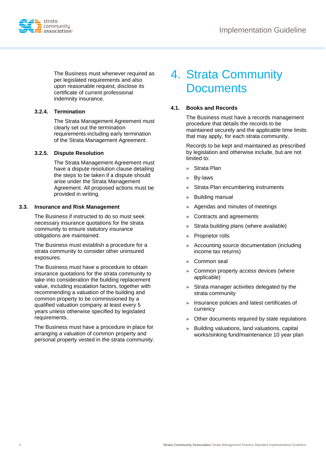

The Business must whenever required as per legislated requirements and also upon reasonable request, disclose its certificate of current professional indemnity insurance.

#### <span id="page-5-0"></span>**3.2.4. Termination**

The Strata Management Agreement must clearly set out the termination requirements including early termination of the Strata Management Agreement.

#### <span id="page-5-1"></span>**3.2.5. Dispute Resolution**

The Strata Management Agreement must have a dispute resolution clause detailing the steps to be taken if a dispute should arise under the Strata Management Agreement. All proposed actions must be provided in writing.

#### <span id="page-5-2"></span>**3.3. Insurance and Risk Management**

The Business if instructed to do so must seek necessary insurance quotations for the strata community to ensure statutory insurance obligations are maintained.

The Business must establish a procedure for a strata community to consider other uninsured exposures.

The Business must have a procedure to obtain insurance quotations for the strata community to take into consideration the building replacement value, including escalation factors, together with recommending a valuation of the building and common property to be commissioned by a qualified valuation company at least every 5 years unless otherwise specified by legislated requirements.

The Business must have a procedure in place for arranging a valuation of common property and personal property vested in the strata community.

### <span id="page-5-3"></span>4. Strata Community **Documents**

#### <span id="page-5-4"></span>**4.1. Books and Records**

The Business must have a records management procedure that details the records to be maintained securely and the applicable time limits that may apply, for each strata community.

Records to be kept and maintained as prescribed by legislation and otherwise include, but are not limited to:

- » Strata Plan
- » By-laws
- » Strata Plan encumbering instruments
- » Building manual
- » Agendas and minutes of meetings
- » Contracts and agreements
- » Strata building plans (where available)
- » Proprietor rolls
- » Accounting source documentation (including income tax returns)
- » Common seal
- » Common property access devices (where applicable)
- » Strata manager activities delegated by the strata community
- » Insurance policies and latest certificates of currency
- » Other documents required by state regulations
- » Building valuations, land valuations, capital works/sinking fund/maintenance 10 year plan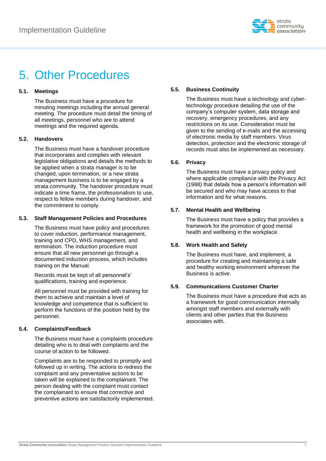

### <span id="page-6-0"></span>5. Other Procedures

#### <span id="page-6-1"></span>**5.1. Meetings**

The Business must have a procedure for minuting meetings including the annual general meeting. The procedure must detail the timing of all meetings, personnel who are to attend meetings and the required agenda.

#### <span id="page-6-2"></span>**5.2. Handovers**

The Business must have a handover procedure that incorporates and complies with relevant legislative obligations and details the methods to be applied when a strata manager is to be changed, upon termination, or a new strata management business is to be engaged by a strata community. The handover procedure must indicate a time frame, the professionalism to use, respect to fellow members during handover, and the commitment to comply.

#### <span id="page-6-3"></span>**5.3. Staff Management Policies and Procedures**

The Business must have policy and procedures to cover induction, performance management, training and CPD, WHS management, and termination. The induction procedure must ensure that all new personnel go through a documented induction process, which includes training on the Manual.

Records must be kept of all personnel's' qualifications, training and experience.

All personnel must be provided with training for them to achieve and maintain a level of knowledge and competence that is sufficient to perform the functions of the position held by the personnel.

#### <span id="page-6-4"></span>**5.4. Complaints/Feedback**

The Business must have a complaints procedure detailing who is to deal with complaints and the course of action to be followed.

Complaints are to be responded to promptly and followed up in writing. The actions to redress the complaint and any preventative actions to be taken will be explained to the complainant. The person dealing with the complaint must contact the complainant to ensure that corrective and preventive actions are satisfactorily implemented.

#### <span id="page-6-5"></span>**5.5. Business Continuity**

The Business must have a technology and cybertechnology procedure detailing the use of the company's computer system, data storage and recovery, emergency procedures, and any restrictions on its use. Consideration must be given to the sending of e-mails and the accessing of electronic media by staff members. Virus detection, protection and the electronic storage of records must also be implemented as necessary.

#### <span id="page-6-6"></span>**5.6. Privacy**

The Business must have a privacy policy and where applicable compliance with the Privacy Act (1988) that details how a person's information will be secured and who may have access to that information and for what reasons.

#### <span id="page-6-7"></span>**5.7. Mental Health and Wellbeing**

The Business must have a policy that provides a framework for the promotion of good mental health and wellbeing in the workplace.

#### <span id="page-6-8"></span>**5.8. Work Health and Safety**

The Business must have, and implement, a procedure for creating and maintaining a safe and healthy working environment wherever the Business is active.

#### <span id="page-6-9"></span>**5.9. Communications Customer Charter**

The Business must have a procedure that acts as a framework for good communication internally amongst staff members and externally with clients and other parties that the Business associates with.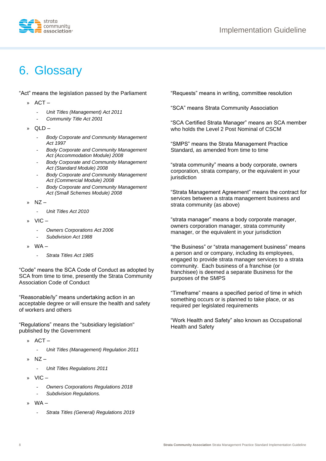

### <span id="page-7-0"></span>6. Glossary

"Act" means the legislation passed by the Parliament

- » ACT
	- *Unit Titles (Management) Act 2011*
	- *Community Title Act 2001*
- » QLD
	- *Body Corporate and Community Management Act 1997*
	- *Body Corporate and Community Management Act (Accommodation Module) 2008*
	- *Body Corporate and Community Management Act (Standard Module) 2008*
	- *Body Corporate and Community Management Act (Commercial Module) 2008*
	- *Body Corporate and Community Management Act (Small Schemes Module) 2008*
- $NZ -$ 
	- *Unit Titles Act 2010*
- $VIC -$ 
	- *Owners Corporations Act 2006*
	- *Subdivision Act 1988*
- » WA
	- *Strata Titles Act 1985*

"Code" means the SCA Code of Conduct as adopted by SCA from time to time, presently the Strata Community Association Code of Conduct

"Reasonable/ly" means undertaking action in an acceptable degree or will ensure the health and safety of workers and others

"Regulations" means the "subsidiary legislation" published by the Government

- » ACT
	- *Unit Titles (Management) Regulation 2011*
- $»$  NZ
	- *Unit Titles Regulations 2011*
- » VIC
	- *Owners Corporations Regulations 2018*
	- *Subdivision Regulations.*
- » WA
	- *Strata Titles (General) Regulations 2019*

"Requests" means in writing, committee resolution

"SCA" means Strata Community Association

"SCA Certified Strata Manager" means an SCA member who holds the Level 2 Post Nominal of CSCM

"SMPS" means the Strata Management Practice Standard, as amended from time to time

"strata community" means a body corporate, owners corporation, strata company, or the equivalent in your iurisdiction

"Strata Management Agreement" means the contract for services between a strata management business and strata community (as above)

"strata manager" means a body corporate manager, owners corporation manager, strata community manager, or the equivalent in your jurisdiction

"the Business" or "strata management business" means a person and or company, including its employees, engaged to provide strata manager services to a strata community. Each business of a franchise (or franchisee) is deemed a separate Business for the purposes of the SMPS

"Timeframe" means a specified period of time in which something occurs or is planned to take place, or as required per legislated requirements

"Work Health and Safety" also known as Occupational Health and Safety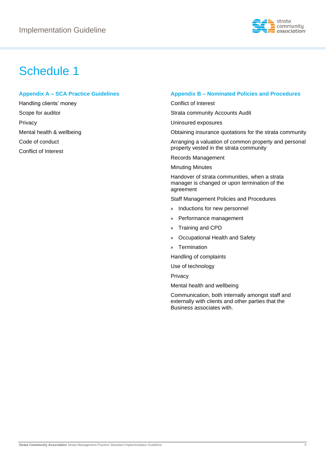

### <span id="page-8-0"></span>Schedule 1

#### <span id="page-8-1"></span>**Appendix A – SCA Practice Guidelines**

Handling clients' money Scope for auditor Privacy Mental health & wellbeing Code of conduct Conflict of Interest

#### <span id="page-8-2"></span>**Appendix B – Nominated Policies and Procedures**

Conflict of Interest

Strata community Accounts Audit

Uninsured exposures

Obtaining insurance quotations for the strata community

Arranging a valuation of common property and personal property vested in the strata community

Records Management

Minuting Minutes

Handover of strata communities, when a strata manager is changed or upon termination of the agreement

Staff Management Policies and Procedures

- » Inductions for new personnel
- » Performance management
- » Training and CPD
- » Occupational Health and Safety
- » Termination

Handling of complaints

Use of technology

Privacy

Mental health and wellbeing

Communication, both internally amongst staff and externally with clients and other parties that the Business associates with.